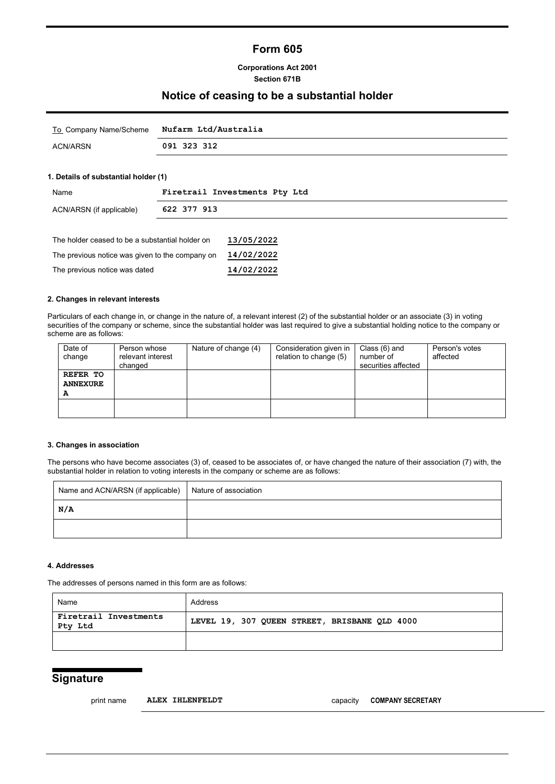# **Form 605**

## **Corporations Act 2001 Section 671B**

## **Notice of ceasing to be a substantial holder**

|          | To Company Name/Scheme Nufarm Ltd/Australia |
|----------|---------------------------------------------|
| ACN/ARSN | 091 323 312                                 |

## **1. Details of substantial holder (1)**

| Name                                            | Firetrail Investments Pty Ltd |            |  |
|-------------------------------------------------|-------------------------------|------------|--|
| ACN/ARSN (if applicable)                        | 622 377 913                   |            |  |
|                                                 |                               |            |  |
| The holder ceased to be a substantial holder on |                               | 13/05/2022 |  |
| The previous notice was given to the company on |                               | 14/02/2022 |  |
| The previous notice was dated                   |                               | 14/02/2022 |  |

## **2. Changes in relevant interests**

Particulars of each change in, or change in the nature of, a relevant interest (2) of the substantial holder or an associate (3) in voting securities of the company or scheme, since the substantial holder was last required to give a substantial holding notice to the company or scheme are as follows:

| Date of<br>change | Person whose<br>relevant interest<br>changed | Nature of change (4) | Consideration given in<br>relation to change (5) | Class (6) and<br>number of<br>securities affected | Person's votes<br>affected |
|-------------------|----------------------------------------------|----------------------|--------------------------------------------------|---------------------------------------------------|----------------------------|
| REFER TO          |                                              |                      |                                                  |                                                   |                            |
| <b>ANNEXURE</b>   |                                              |                      |                                                  |                                                   |                            |
| А                 |                                              |                      |                                                  |                                                   |                            |
|                   |                                              |                      |                                                  |                                                   |                            |
|                   |                                              |                      |                                                  |                                                   |                            |

#### **3. Changes in association**

The persons who have become associates (3) of, ceased to be associates of, or have changed the nature of their association (7) with, the substantial holder in relation to voting interests in the company or scheme are as follows:

| Name and ACN/ARSN (if applicable) | Nature of association |
|-----------------------------------|-----------------------|
| N/A                               |                       |
|                                   |                       |

#### **4. Addresses**

The addresses of persons named in this form are as follows:

| Name                             | Address                                       |
|----------------------------------|-----------------------------------------------|
| Firetrail Investments<br>Pty Ltd | LEVEL 19, 307 QUEEN STREET, BRISBANE QLD 4000 |
|                                  |                                               |

# **Signature**

print name **ALEX IHLENFELDT** capacity **COMPANY SECRETARY**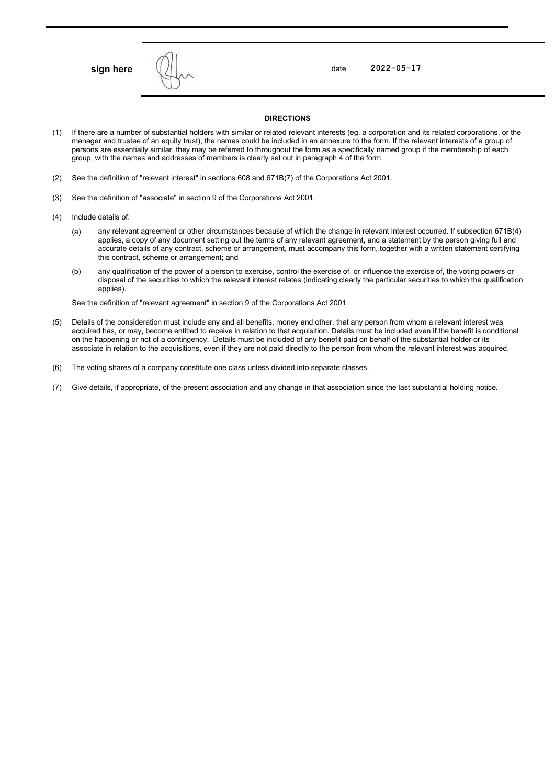

**sign here**  $\left\{\frac{1}{1}\right\}$  , the contract of the contract of the contract of the contract of the contract of the contract of the contract of the contract of the contract of the contract of the contract of the contract of

#### **DIRECTIONS**

- (1) If there are a number of substantial holders with similar or related relevant interests (eg. a corporation and its related corporations, or the manager and trustee of an equity trust), the names could be included in an annexure to the form. If the relevant interests of a group of persons are essentially similar, they may be referred to throughout the form as a specifically named group if the membership of each group, with the names and addresses of members is clearly set out in paragraph 4 of the form.
- (2) See the definition of "relevant interest" in sections 608 and 671B(7) of the Corporations Act 2001.
- (3) See the definition of "associate" in section 9 of the Corporations Act 2001.
- (4) Include details of:
	- (a) any relevant agreement or other circumstances because of which the change in relevant interest occurred. If subsection 671B(4) applies, a copy of any document setting out the terms of any relevant agreement, and a statement by the person giving full and accurate details of any contract, scheme or arrangement, must accompany this form, together with a written statement certifying this contract, scheme or arrangement; and
	- (b) any qualification of the power of a person to exercise, control the exercise of, or influence the exercise of, the voting powers or disposal of the securities to which the relevant interest relates (indicating clearly the particular securities to which the qualification applies).

See the definition of "relevant agreement" in section 9 of the Corporations Act 2001.

- (5) Details of the consideration must include any and all benefits, money and other, that any person from whom a relevant interest was acquired has, or may, become entitled to receive in relation to that acquisition. Details must be included even if the benefit is conditional on the happening or not of a contingency. Details must be included of any benefit paid on behalf of the substantial holder or its associate in relation to the acquisitions, even if they are not paid directly to the person from whom the relevant interest was acquired.
- (6) The voting shares of a company constitute one class unless divided into separate classes.
- (7) Give details, if appropriate, of the present association and any change in that association since the last substantial holding notice.